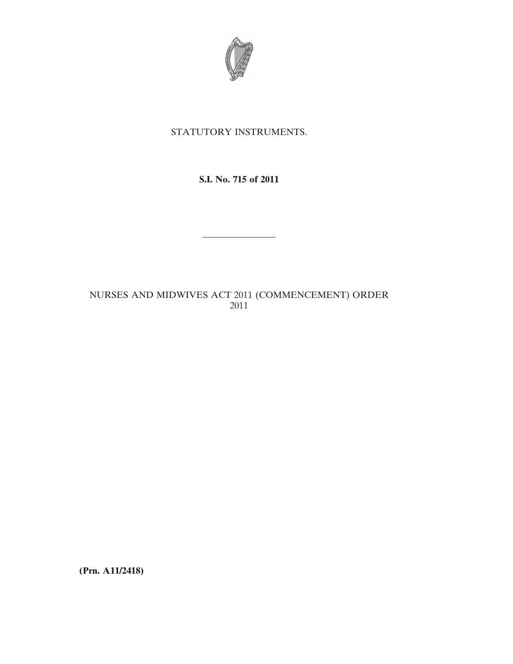

# STATUTORY INSTRUMENTS.

# **S.I. No. 715 of 2011**

————————

# NURSES AND MIDWIVES ACT 2011 (COMMENCEMENT) ORDER 2011

**(Prn. A11/2418)**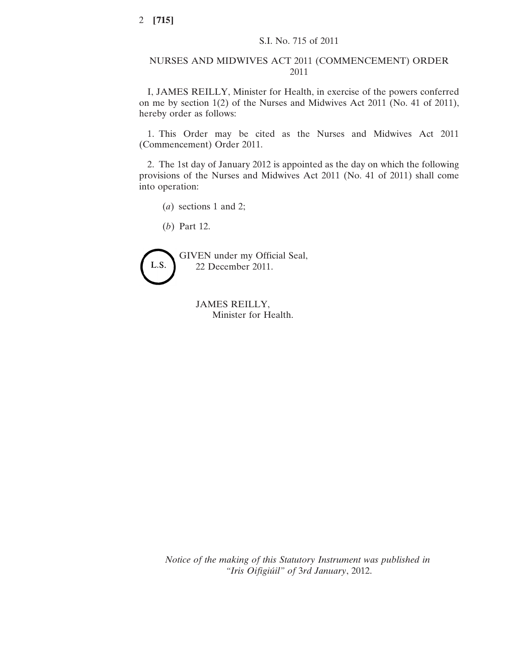### NURSES AND MIDWIVES ACT 2011 (COMMENCEMENT) ORDER 2011

I, JAMES REILLY, Minister for Health, in exercise of the powers conferred on me by section 1(2) of the Nurses and Midwives Act 2011 (No. 41 of 2011), hereby order as follows:

1. This Order may be cited as the Nurses and Midwives Act 2011 (Commencement) Order 2011.

2. The 1st day of January 2012 is appointed as the day on which the following provisions of the Nurses and Midwives Act 2011 (No. 41 of 2011) shall come into operation:

(*a*) sections 1 and 2;

(*b*) Part 12.



JAMES REILLY, Minister for Health.

*Notice of the making of this Statutory Instrument was published in "Iris Oifigiúil" of* 3*rd January*, 2012.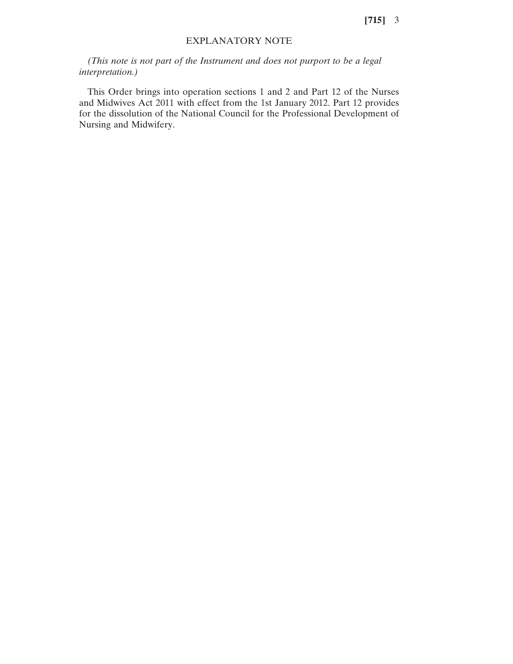### EXPLANATORY NOTE

*(This note is not part of the Instrument and does not purport to be a legal interpretation.)*

This Order brings into operation sections 1 and 2 and Part 12 of the Nurses and Midwives Act 2011 with effect from the 1st January 2012. Part 12 provides for the dissolution of the National Council for the Professional Development of Nursing and Midwifery.